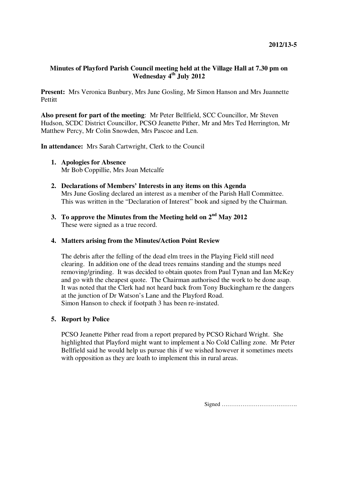## **Minutes of Playford Parish Council meeting held at the Village Hall at 7.30 pm on Wednesday 4th July 2012**

**Present:** Mrs Veronica Bunbury, Mrs June Gosling, Mr Simon Hanson and Mrs Juannette **Pettitt** 

**Also present for part of the meeting**: Mr Peter Bellfield, SCC Councillor, Mr Steven Hudson, SCDC District Councillor, PCSO Jeanette Pither, Mr and Mrs Ted Herrington, Mr Matthew Percy, Mr Colin Snowden, Mrs Pascoe and Len.

**In attendance:** Mrs Sarah Cartwright, Clerk to the Council

- **1. Apologies for Absence**  Mr Bob Coppillie, Mrs Joan Metcalfe
- **2. Declarations of Members' Interests in any items on this Agenda**  Mrs June Gosling declared an interest as a member of the Parish Hall Committee. This was written in the "Declaration of Interest" book and signed by the Chairman.
- **3. To approve the Minutes from the Meeting held on 2nd May 2012**  These were signed as a true record.

**4. Matters arising from the Minutes/Action Point Review** 

The debris after the felling of the dead elm trees in the Playing Field still need clearing. In addition one of the dead trees remains standing and the stumps need removing/grinding. It was decided to obtain quotes from Paul Tynan and Ian McKey and go with the cheapest quote. The Chairman authorised the work to be done asap. It was noted that the Clerk had not heard back from Tony Buckingham re the dangers at the junction of Dr Watson's Lane and the Playford Road. Simon Hanson to check if footpath 3 has been re-instated.

## **5. Report by Police**

PCSO Jeanette Pither read from a report prepared by PCSO Richard Wright. She highlighted that Playford might want to implement a No Cold Calling zone. Mr Peter Bellfield said he would help us pursue this if we wished however it sometimes meets with opposition as they are loath to implement this in rural areas.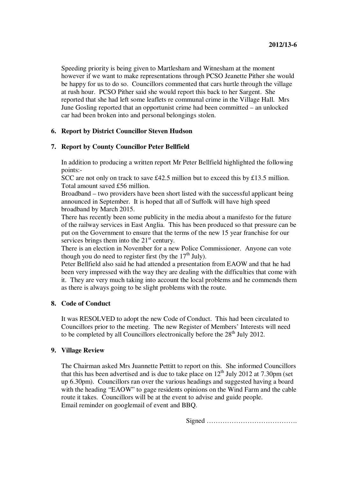Speeding priority is being given to Martlesham and Witnesham at the moment however if we want to make representations through PCSO Jeanette Pither she would be happy for us to do so. Councillors commented that cars hurtle through the village at rush hour. PCSO Pither said she would report this back to her Sargent. She reported that she had left some leaflets re communal crime in the Village Hall. Mrs June Gosling reported that an opportunist crime had been committed – an unlocked car had been broken into and personal belongings stolen.

# **6. Report by District Councillor Steven Hudson**

## **7. Report by County Councillor Peter Bellfield**

In addition to producing a written report Mr Peter Bellfield highlighted the following points:-

SCC are not only on track to save £42.5 million but to exceed this by £13.5 million. Total amount saved £56 million.

Broadband – two providers have been short listed with the successful applicant being announced in September. It is hoped that all of Suffolk will have high speed broadband by March 2015.

There has recently been some publicity in the media about a manifesto for the future of the railway services in East Anglia. This has been produced so that pressure can be put on the Government to ensure that the terms of the new 15 year franchise for our services brings them into the  $21<sup>st</sup>$  century.

There is an election in November for a new Police Commissioner. Anyone can vote though you do need to register first (by the  $17<sup>th</sup>$  July).

Peter Bellfield also said he had attended a presentation from EAOW and that he had been very impressed with the way they are dealing with the difficulties that come with it. They are very much taking into account the local problems and he commends them as there is always going to be slight problems with the route.

## **8. Code of Conduct**

It was RESOLVED to adopt the new Code of Conduct. This had been circulated to Councillors prior to the meeting. The new Register of Members' Interests will need to be completed by all Councillors electronically before the  $28<sup>th</sup>$  July 2012.

#### **9. Village Review**

The Chairman asked Mrs Juannette Pettitt to report on this. She informed Councillors that this has been advertised and is due to take place on  $12<sup>th</sup>$  July 2012 at 7.30pm (set up 6.30pm). Councillors ran over the various headings and suggested having a board with the heading "EAOW" to gage residents opinions on the Wind Farm and the cable route it takes. Councillors will be at the event to advise and guide people. Email reminder on googlemail of event and BBQ.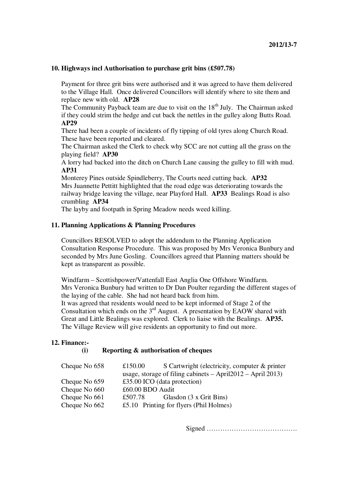### **10. Highways incl Authorisation to purchase grit bins (£507.78)**

Payment for three grit bins were authorised and it was agreed to have them delivered to the Village Hall. Once delivered Councillors will identify where to site them and replace new with old. **AP28** 

The Community Payback team are due to visit on the 18<sup>th</sup> July. The Chairman asked if they could strim the hedge and cut back the nettles in the gulley along Butts Road. **AP29** 

There had been a couple of incidents of fly tipping of old tyres along Church Road. These have been reported and cleared.

The Chairman asked the Clerk to check why SCC are not cutting all the grass on the playing field? **AP30** 

A lorry had backed into the ditch on Church Lane causing the gulley to fill with mud. **AP31** 

Monterey Pines outside Spindleberry, The Courts need cutting back. **AP32**  Mrs Juannette Pettitt highlighted that the road edge was deteriorating towards the railway bridge leaving the village, near Playford Hall. **AP33** Bealings Road is also crumbling **AP34** 

The layby and footpath in Spring Meadow needs weed killing.

#### **11. Planning Applications & Planning Procedures**

Councillors RESOLVED to adopt the addendum to the Planning Application Consultation Response Procedure. This was proposed by Mrs Veronica Bunbury and seconded by Mrs June Gosling. Councillors agreed that Planning matters should be kept as transparent as possible.

Windfarm – Scottishpower/Vattenfall East Anglia One Offshore Windfarm. Mrs Veronica Bunbury had written to Dr Dan Poulter regarding the different stages of the laying of the cable. She had not heard back from him. It was agreed that residents would need to be kept informed of Stage 2 of the Consultation which ends on the  $3<sup>rd</sup>$  August. A presentation by EAOW shared with Great and Little Bealings was explored. Clerk to liaise with the Bealings. **AP35.** The Village Review will give residents an opportunity to find out more.

# **12. Finance:-**

#### **(i) Reporting & authorisation of cheques**

| Cheque No 658 | £150.00                                                         | S Cartwright (electricity, computer & printer |  |
|---------------|-----------------------------------------------------------------|-----------------------------------------------|--|
|               | usage, storage of filing cabinets $-$ April2012 $-$ April 2013) |                                               |  |
| Cheque No 659 | £35.00 ICO (data protection)                                    |                                               |  |
| Cheque No 660 | £60.00 BDO Audit                                                |                                               |  |
| Cheque No 661 | £507.78                                                         | Glasdon (3 x Grit Bins)                       |  |
| Cheque No 662 |                                                                 | £5.10 Printing for flyers (Phil Holmes)       |  |